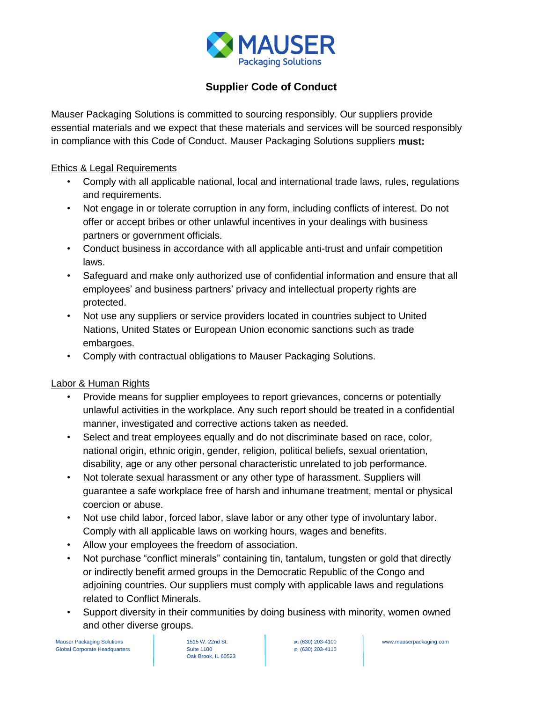

# **Supplier Code of Conduct**

Mauser Packaging Solutions is committed to sourcing responsibly. Our suppliers provide essential materials and we expect that these materials and services will be sourced responsibly in compliance with this Code of Conduct. Mauser Packaging Solutions suppliers **must:**

### Ethics & Legal Requirements

- Comply with all applicable national, local and international trade laws, rules, regulations and requirements.
- Not engage in or tolerate corruption in any form, including conflicts of interest. Do not offer or accept bribes or other unlawful incentives in your dealings with business partners or government officials.
- Conduct business in accordance with all applicable anti-trust and unfair competition laws.
- Safeguard and make only authorized use of confidential information and ensure that all employees' and business partners' privacy and intellectual property rights are protected.
- Not use any suppliers or service providers located in countries subject to United Nations, United States or European Union economic sanctions such as trade embargoes.
- Comply with contractual obligations to Mauser Packaging Solutions.

## Labor & Human Rights

- Provide means for supplier employees to report grievances, concerns or potentially unlawful activities in the workplace. Any such report should be treated in a confidential manner, investigated and corrective actions taken as needed.
- Select and treat employees equally and do not discriminate based on race, color, national origin, ethnic origin, gender, religion, political beliefs, sexual orientation, disability, age or any other personal characteristic unrelated to job performance.
- Not tolerate sexual harassment or any other type of harassment. Suppliers will guarantee a safe workplace free of harsh and inhumane treatment, mental or physical coercion or abuse.
- Not use child labor, forced labor, slave labor or any other type of involuntary labor. Comply with all applicable laws on working hours, wages and benefits.
- Allow your employees the freedom of association.
- Not purchase "conflict minerals" containing tin, tantalum, tungsten or gold that directly or indirectly benefit armed groups in the Democratic Republic of the Congo and adjoining countries. Our suppliers must comply with applicable laws and regulations related to Conflict Minerals.
- Support diversity in their communities by doing business with minority, women owned and other diverse groups.